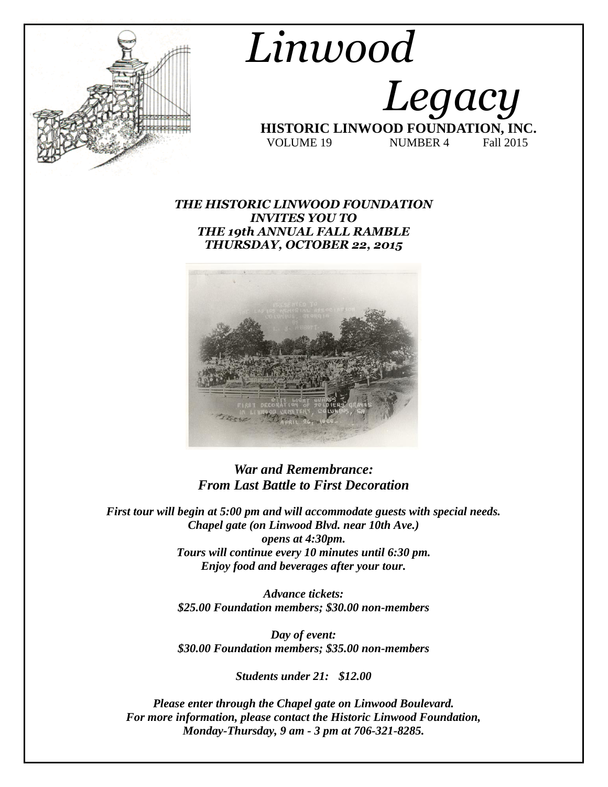

# *Linwood Legacy*   **HISTORIC LINWOOD FOUNDATION, INC.** VOLUME 19 NUMBER 4 Fall 2015

### *THE HISTORIC LINWOOD FOUNDATION INVITES YOU TO THE 19th ANNUAL FALL RAMBLE THURSDAY, OCTOBER 22, 2015*



## *War and Remembrance: From Last Battle to First Decoration*

*First tour will begin at 5:00 pm and will accommodate guests with special needs. Chapel gate (on Linwood Blvd. near 10th Ave.) opens at 4:30pm. Tours will continue every 10 minutes until 6:30 pm. Enjoy food and beverages after your tour.*

> *Advance tickets: \$25.00 Foundation members; \$30.00 non-members*

> *Day of event: \$30.00 Foundation members; \$35.00 non-members*

> > *Students under 21: \$12.00*

*Please enter through the Chapel gate on Linwood Boulevard. For more information, please contact the Historic Linwood Foundation, Monday-Thursday, 9 am - 3 pm at 706-321-8285.*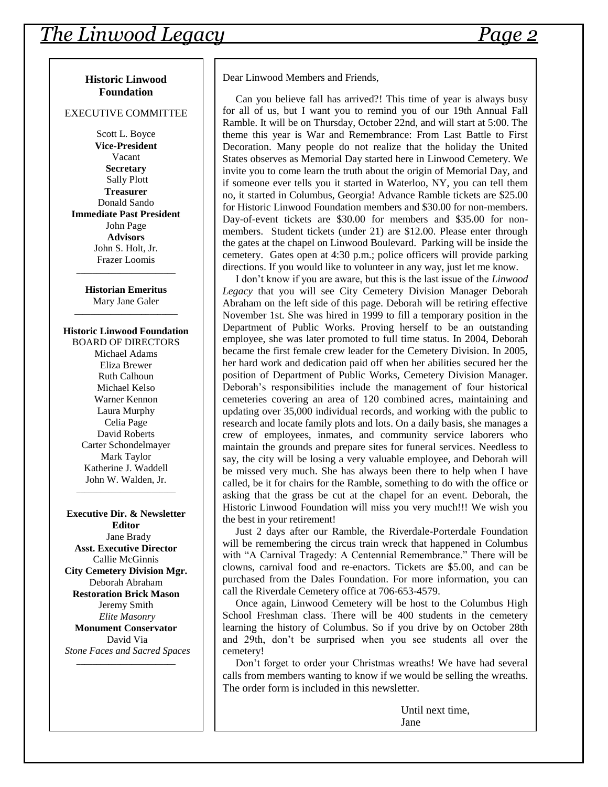#### **Historic Linwood Foundation**

#### EXECUTIVE COMMITTEE

Scott L. Boyce **Vice-President** Vacant **Secretary** Sally Plott **Treasurer** Donald Sando **Immediate Past President** John Page **Advisors** John S. Holt, Jr. Frazer Loomis

**Historian Emeritus** Mary Jane Galer \_\_\_\_\_\_\_\_\_\_\_\_\_\_\_\_\_\_\_\_\_\_\_\_\_\_

\_\_\_\_\_\_\_\_\_\_\_\_\_\_\_\_\_\_\_\_\_\_\_\_\_

#### **Historic Linwood Foundation**

BOARD OF DIRECTORS Michael Adams Eliza Brewer Ruth Calhoun Michael Kelso Warner Kennon Laura Murphy Celia Page David Roberts Carter Schondelmayer Mark Taylor Katherine J. Waddell John W. Walden, Jr.

\_\_\_\_\_\_\_\_\_\_\_\_\_\_\_\_\_\_\_\_\_\_\_\_\_

**Executive Dir. & Newsletter Editor** Jane Brady **Asst. Executive Director** Callie McGinnis **City Cemetery Division Mgr.** Deborah Abraham **Restoration Brick Mason** Jeremy Smith *Elite Masonry* **Monument Conservator** David Via *Stone Faces and Sacred Spaces*

\_\_\_\_\_\_\_\_\_\_\_\_\_\_\_\_\_\_\_\_\_\_\_\_\_

Dear Linwood Members and Friends,

 Can you believe fall has arrived?! This time of year is always busy for all of us, but I want you to remind you of our 19th Annual Fall Ramble. It will be on Thursday, October 22nd, and will start at 5:00. The theme this year is War and Remembrance: From Last Battle to First Decoration. Many people do not realize that the holiday the United States observes as Memorial Day started here in Linwood Cemetery. We invite you to come learn the truth about the origin of Memorial Day, and if someone ever tells you it started in Waterloo, NY, you can tell them no, it started in Columbus, Georgia! Advance Ramble tickets are \$25.00 for Historic Linwood Foundation members and \$30.00 for non-members. Day-of-event tickets are \$30.00 for members and \$35.00 for nonmembers. Student tickets (under 21) are \$12.00. Please enter through the gates at the chapel on Linwood Boulevard. Parking will be inside the cemetery. Gates open at 4:30 p.m.; police officers will provide parking directions. If you would like to volunteer in any way, just let me know.

 I don't know if you are aware, but this is the last issue of the *Linwood Legacy* that you will see City Cemetery Division Manager Deborah Abraham on the left side of this page. Deborah will be retiring effective November 1st. She was hired in 1999 to fill a temporary position in the Department of Public Works. Proving herself to be an outstanding employee, she was later promoted to full time status. In 2004, Deborah became the first female crew leader for the Cemetery Division. In 2005, her hard work and dedication paid off when her abilities secured her the position of Department of Public Works, Cemetery Division Manager. Deborah's responsibilities include the management of four historical cemeteries covering an area of 120 combined acres, maintaining and updating over 35,000 individual records, and working with the public to research and locate family plots and lots. On a daily basis, she manages a crew of employees, inmates, and community service laborers who maintain the grounds and prepare sites for funeral services. Needless to say, the city will be losing a very valuable employee, and Deborah will be missed very much. She has always been there to help when I have called, be it for chairs for the Ramble, something to do with the office or asking that the grass be cut at the chapel for an event. Deborah, the Historic Linwood Foundation will miss you very much!!! We wish you the best in your retirement!

 Just 2 days after our Ramble, the Riverdale-Porterdale Foundation will be remembering the circus train wreck that happened in Columbus with "A Carnival Tragedy: A Centennial Remembrance." There will be clowns, carnival food and re-enactors. Tickets are \$5.00, and can be purchased from the Dales Foundation. For more information, you can call the Riverdale Cemetery office at 706-653-4579.

 Once again, Linwood Cemetery will be host to the Columbus High School Freshman class. There will be 400 students in the cemetery learning the history of Columbus. So if you drive by on October 28th and 29th, don't be surprised when you see students all over the cemetery!

 Don't forget to order your Christmas wreaths! We have had several calls from members wanting to know if we would be selling the wreaths. The order form is included in this newsletter.

> Until next time, Jane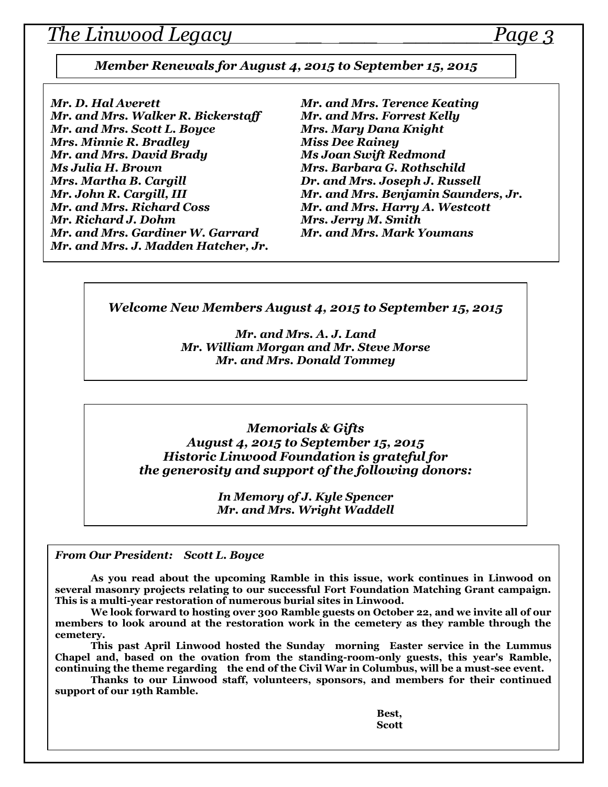## *The Linwood Legacy \_\_ \_\_\_ \_\_\_\_\_\_\_Page 3*

*Member Renewals for August 4, 2015 to September 15, 2015*

*Mr. D. Hal Averett Mr. and Mrs. Terence Keating Mr. and Mrs. Walker R. Bickerstaff Mr. and Mrs. Forrest Kelly Mr. and Mrs. Scott L. Boyce Mrs. Mary Dana Knight Mrs. Minnie R. Bradley Miss Dee Rainey Mr. and Mrs. David Brady Ms Joan Swift Redmond Ms Julia H. Brown Mrs. Barbara G. Rothschild Mrs. Martha B. Cargill Dr. and Mrs. Joseph J. Russell Mr. John R. Cargill, III Mr. and Mrs. Benjamin Saunders, Jr. Mr. and Mrs. Richard Coss Mr. and Mrs. Harry A. Westcott Mr. and Mrs. Gardiner W. Garrard Mr. and Mrs. Mark Youmans Mr. and Mrs. J. Madden Hatcher, Jr.*

*Mrs. Jerry M. Smith* 

*Welcome New Members August 4, 2015 to September 15, 2015*

*Mr. and Mrs. A. J. Land Mr. William Morgan and Mr. Steve Morse Mr. and Mrs. Donald Tommey*

*Memorials & Gifts August 4, 2015 to September 15, 2015 Historic Linwood Foundation is grateful for the generosity and support of the following donors:*

> *In Memory of J. Kyle Spencer Mr. and Mrs. Wright Waddell*

*From Our President: Scott L. Boyce*

**As you read about the upcoming Ramble in this issue, work continues in Linwood on several masonry projects relating to our successful Fort Foundation Matching Grant campaign. This is a multi-year restoration of numerous burial sites in Linwood.** 

**We look forward to hosting over 300 Ramble guests on October 22, and we invite all of our members to look around at the restoration work in the cemetery as they ramble through the cemetery.**

**This past April Linwood hosted the Sunday morning Easter service in the Lummus Chapel and, based on the ovation from the standing-room-only guests, this year's Ramble, continuing the theme regarding the end of the Civil War in Columbus, will be a must-see event.**

**Thanks to our Linwood staff, volunteers, sponsors, and members for their continued support of our 19th Ramble.**

> **Best, Scott**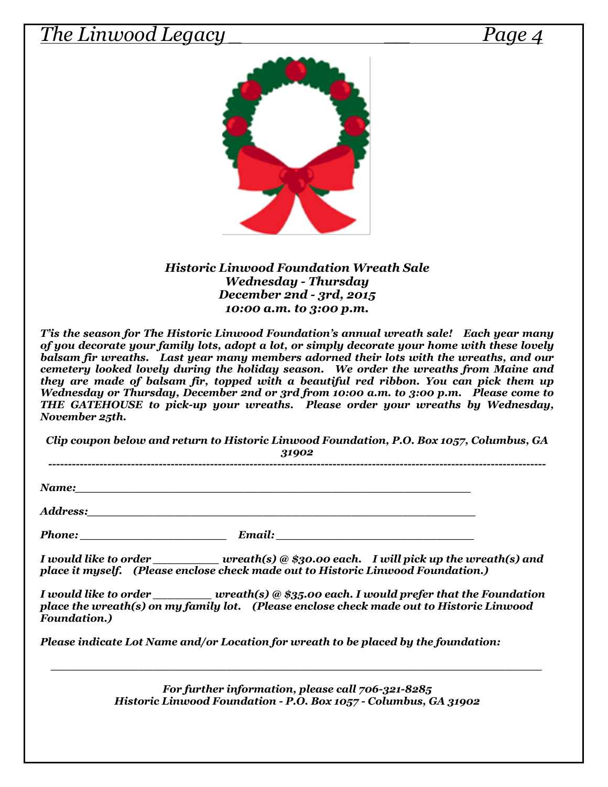## *The Linwood Legacy \_ \_\_ Page 4*



*Historic Linwood Foundation Wreath Sale Wednesday - Thursday December 2nd - 3rd, 2015 10:00 a.m. to 3:00 p.m.*

*T'is the season for The Historic Linwood Foundation's annual wreath sale! Each year many of you decorate your family lots, adopt a lot, or simply decorate your home with these lovely balsam fir wreaths. Last year many members adorned their lots with the wreaths, and our cemetery looked lovely during the holiday season. We order the wreaths from Maine and they are made of balsam fir, topped with a beautiful red ribbon. You can pick them up Wednesday or Thursday, December 2nd or 3rd from 10:00 a.m. to 3:00 p.m. Please come to THE GATEHOUSE to pick-up your wreaths. Please order your wreaths by Wednesday, November 25th.* 

*Clip coupon below and return to Historic Linwood Foundation, P.O. Box 1057, Columbus, GA* 

*31902 ------------------------------------------------------------------------------------------------------------------------------*

*Name:* 2.2 and 2.2 and 2.2 and 2.2 and 2.2 and 2.2 and 2.2 and 2.2 and 2.2 and 2.2 and 2.2 and 2.2 and 2.2 and 2.2 and 2.2 and 2.2 and 2.2 and 2.2 and 2.2 and 2.2 and 2.2 and 2.2 and 2.2 and 2.2 and 2.2 and 2.2 and 2.2 an

*Address:\_\_\_\_\_\_\_\_\_\_\_\_\_\_\_\_\_\_\_\_\_\_\_\_\_\_\_\_\_\_\_\_\_\_\_\_\_\_\_\_\_\_\_\_\_\_\_\_\_\_\_\_\_*

*Phone: \_\_\_\_\_\_\_\_\_\_\_\_\_\_\_\_\_\_\_\_ Email: \_\_\_\_\_\_\_\_\_\_\_\_\_\_\_\_\_\_\_\_\_\_\_\_\_\_\_*

*I would like to order \_\_\_\_\_\_\_\_\_ wreath(s) @ \$30.00 each. I will pick up the wreath(s) and place it myself. (Please enclose check made out to Historic Linwood Foundation.)*

*I would like to order \_\_\_\_\_\_\_\_ wreath(s) @ \$35.00 each. I would prefer that the Foundation place the wreath(s) on my family lot. (Please enclose check made out to Historic Linwood Foundation.)*

*Please indicate Lot Name and/or Location for wreath to be placed by the foundation:*

*For further information, please call 706-321-8285 Historic Linwood Foundation - P.O. Box 1057 - Columbus, GA 31902*

*\_\_\_\_\_\_\_\_\_\_\_\_\_\_\_\_\_\_\_\_\_\_\_\_\_\_\_\_\_\_\_\_\_\_\_\_\_\_\_\_\_\_\_\_\_\_\_\_\_\_\_\_\_\_\_\_\_\_\_\_\_\_\_\_\_\_\_*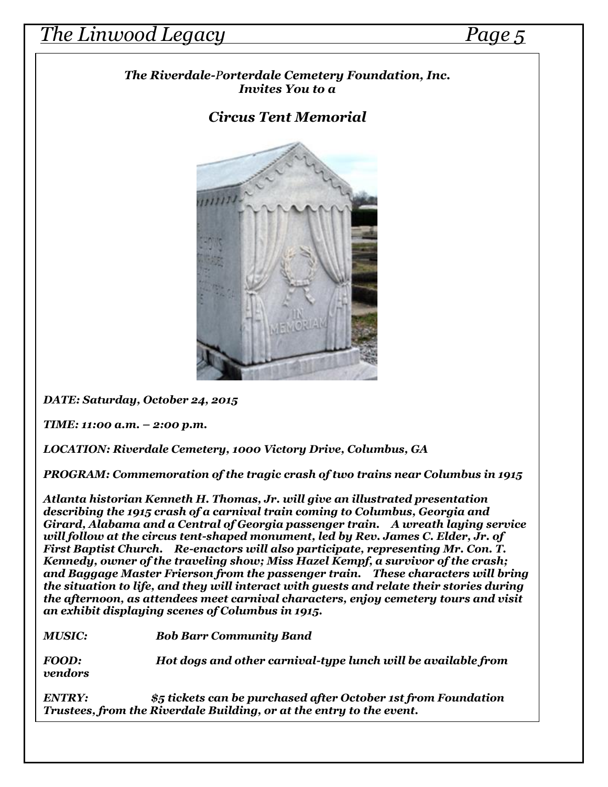## *The Linwood Legacy Page 5*

 *The Riverdale-Porterdale Cemetery Foundation, Inc. Invites You to a*

## *Circus Tent Memorial*



*DATE: Saturday, October 24, 2015*

*TIME: 11:00 a.m. – 2:00 p.m.*

*LOCATION: Riverdale Cemetery, 1000 Victory Drive, Columbus, GA*

*PROGRAM: Commemoration of the tragic crash of two trains near Columbus in 1915*

*Atlanta historian Kenneth H. Thomas, Jr. will give an illustrated presentation describing the 1915 crash of a carnival train coming to Columbus, Georgia and Girard, Alabama and a Central of Georgia passenger train. A wreath laying service will follow at the circus tent-shaped monument, led by Rev. James C. Elder, Jr. of First Baptist Church. Re-enactors will also participate, representing Mr. Con. T. Kennedy, owner of the traveling show; Miss Hazel Kempf, a survivor of the crash; and Baggage Master Frierson from the passenger train. These characters will bring the situation to life, and they will interact with guests and relate their stories during the afternoon, as attendees meet carnival characters, enjoy cemetery tours and visit an exhibit displaying scenes of Columbus in 1915.*

*MUSIC: Bob Barr Community Band*

*FOOD: Hot dogs and other carnival-type lunch will be available from vendors*

*ENTRY: \$5 tickets can be purchased after October 1st from Foundation Trustees, from the Riverdale Building, or at the entry to the event.*